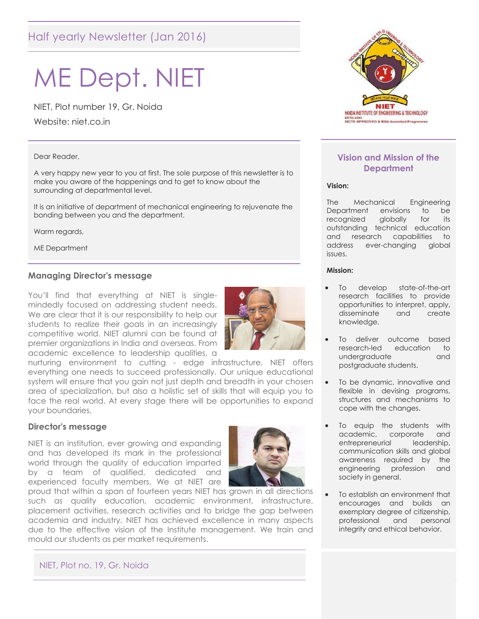# Half yearly Newsletter (Jan 2016)

# ME Dept. NIET

NIET, Plot number 19, Gr. Noida

Website: niet.co.in

#### Dear Reader,

A very happy new year to you at first. The sole purpose of this newsletter is to make you aware of the happenings and to get to know about the surrounding at departmental level.

It is an initiative of department of mechanical engineering to rejuvenate the bonding between you and the department.

Warm regards,

ME Department

#### **Managing Director's message**

You'll find that everything at NIET is singlemindedly focused on addressing student needs. We are clear that it is our responsibility to help our students to realize their goals in an increasingly competitive world. NIET alumni can be found at premier organizations in India and overseas. From academic excellence to leadership qualities, a



nurturing environment to cutting - edge infrastructure, NIET offers everything one needs to succeed professionally. Our unique educational system will ensure that you gain not just depth and breadth in your chosen area of specialization, but also a holistic set of skills that will equip you to face the real world. At every stage there will be opportunities to expand your boundaries.

#### **Director's message**

NIET is an institution, ever growing and expanding and has developed its mark in the professional world through the quality of education imparted by a team of qualified, dedicated and experienced faculty members. We at NIET are



proud that within a span of fourteen years NIET has grown in all directions such as quality education, academic environment, infrastructure, placement activities, research activities and to bridge the gap between academia and industry. NIET has achieved excellence in many aspects due to the effective vision of the Institute management. We train and mould our students as per market requirements.



#### **Vision and Mission of the Department**

#### **Vision:**

The Mechanical Engineering Department envisions to be recognized globally for its outstanding technical education and research capabilities to address ever-changing global issues.

#### **Mission:**

- To develop state-of-the-art research facilities to provide opportunities to interpret, apply, disseminate and create knowledge.
- To deliver outcome based research-led education to undergraduate and postgraduate students.
- To be dynamic, innovative and flexible in devising programs, structures and mechanisms to cope with the changes.
- To equip the students with academic, corporate and entrepreneurial leadership, communication skills and global awareness required by the engineering profession and society in general.
- To establish an environment that encourages and builds an exemplary degree of citizenship, professional and personal integrity and ethical behavior.

NIET, Plot no. 19, Gr. Noida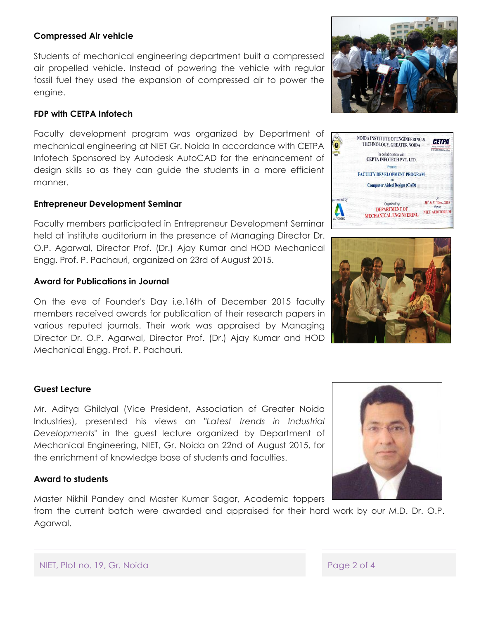#### **Compressed Air vehicle**

Students of mechanical engineering department built a compressed air propelled vehicle. Instead of powering the vehicle with regular fossil fuel they used the expansion of compressed air to power the engine.

## **FDP with CETPA Infotech**

Faculty development program was organized by Department of mechanical engineering at NIET Gr. Noida In accordance with CETPA Infotech Sponsored by Autodesk AutoCAD for the enhancement of design skills so as they can guide the students in a more efficient manner.

## **Entrepreneur Development Seminar**

Faculty members participated in Entrepreneur Development Seminar held at institute auditorium in the presence of Managing Director Dr. O.P. Agarwal, Director Prof. (Dr.) Ajay Kumar and HOD Mechanical Engg. Prof. P. Pachauri, organized on 23rd of August 2015.

## **Award for Publications in Journal**

On the eve of Founder's Day i.e.16th of December 2015 faculty members received awards for publication of their research papers in various reputed journals. Their work was appraised by Managing Director Dr. O.P. Agarwal, Director Prof. (Dr.) Ajay Kumar and HOD Mechanical Engg. Prof. P. Pachauri.

## **Guest Lecture**

Mr. Aditya Ghildyal (Vice President, Association of Greater Noida Industries), presented his views on "*Latest trends in Industrial Developments*" in the guest lecture organized by Department of Mechanical Engineering, NIET, Gr. Noida on 22nd of August 2015, for the enrichment of knowledge base of students and faculties.

## **Award to students**

Master Nikhil Pandey and Master Kumar Sagar, Academic toppers

from the current batch were awarded and appraised for their hard work by our M.D. Dr. O.P. Agarwal.







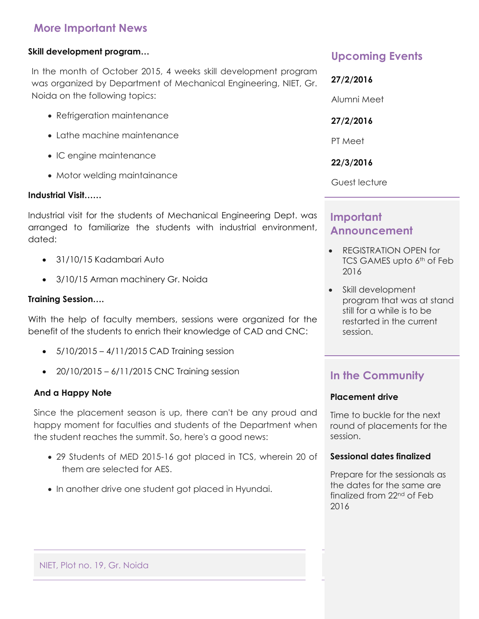# **More Important News**

#### **Skill development program…**

In the month of October 2015, 4 weeks skill development program was organized by Department of Mechanical Engineering, NIET, Gr. Noida on the following topics:

- Refrigeration maintenance
- Lathe machine maintenance
- IC engine maintenance
- Motor welding maintainance

#### **Industrial Visit……**

Industrial visit for the students of Mechanical Engineering Dept. was arranged to familiarize the students with industrial environment, dated:

- 31/10/15 Kadambari Auto
- 3/10/15 Arman machinery Gr. Noida

#### **Training Session….**

With the help of faculty members, sessions were organized for the benefit of the students to enrich their knowledge of CAD and CNC:

- 5/10/2015 4/11/2015 CAD Training session
- $\bullet$  20/10/2015 6/11/2015 CNC Training session

#### **And a Happy Note**

Since the placement season is up, there can't be any proud and happy moment for faculties and students of the Department when the student reaches the summit. So, here's a good news:

- 29 Students of MED 2015-16 got placed in TCS, wherein 20 of them are selected for AES.
- In another drive one student got placed in Hyundai.

## **Upcoming Events**

**27/2/2016** Alumni Meet **27/2/2016** PT Meet **22/3/2016** Guest lecture

# **Important Announcement**

- REGISTRATION OPEN for TCS GAMES upto 6<sup>th</sup> of Feb 2016
- Skill development program that was at stand still for a while is to be restarted in the current session.

# **In the Community**

#### **Placement drive**

Time to buckle for the next round of placements for the session.

#### **Sessional dates finalized**

Prepare for the sessionals as the dates for the same are finalized from 22nd of Feb 2016